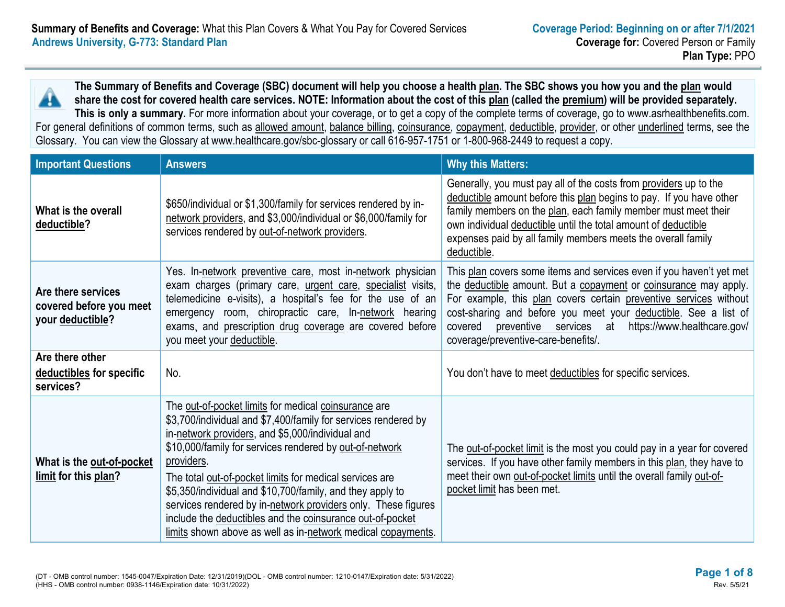**The Summary of Benefits and Coverage (SBC) document will help you choose a health plan. The SBC shows you how you and the plan would share the cost for covered health care services. NOTE: Information about the cost of this plan (called the premium) will be provided separately. This is only a summary.** For more information about your coverage, or to get a copy of the complete terms of coverage, go to www.asrhealthbenefits.com.

For general definitions of common terms, such as allowed amount, balance billing, coinsurance, copayment, deductible, provider, or other underlined terms, see the Glossary. You can view the Glossary at www.healthcare.gov/sbc-glossary or call 616-957-1751 or 1-800-968-2449 to request a copy.

| <b>Important Questions</b>                                        | <b>Answers</b>                                                                                                                                                                                                                                                                                                                                                                                                                                                                                                                                                            | <b>Why this Matters:</b>                                                                                                                                                                                                                                                                                                                                                                 |
|-------------------------------------------------------------------|---------------------------------------------------------------------------------------------------------------------------------------------------------------------------------------------------------------------------------------------------------------------------------------------------------------------------------------------------------------------------------------------------------------------------------------------------------------------------------------------------------------------------------------------------------------------------|------------------------------------------------------------------------------------------------------------------------------------------------------------------------------------------------------------------------------------------------------------------------------------------------------------------------------------------------------------------------------------------|
| What is the overall<br>deductible?                                | \$650/individual or \$1,300/family for services rendered by in-<br>network providers, and \$3,000/individual or \$6,000/family for<br>services rendered by out-of-network providers.                                                                                                                                                                                                                                                                                                                                                                                      | Generally, you must pay all of the costs from providers up to the<br>deductible amount before this plan begins to pay. If you have other<br>family members on the plan, each family member must meet their<br>own individual deductible until the total amount of deductible<br>expenses paid by all family members meets the overall family<br>deductible.                              |
| Are there services<br>covered before you meet<br>your deductible? | Yes. In-network preventive care, most in-network physician<br>exam charges (primary care, urgent care, specialist visits,<br>telemedicine e-visits), a hospital's fee for the use of an<br>emergency room, chiropractic care, In-network hearing<br>exams, and prescription drug coverage are covered before<br>you meet your deductible.                                                                                                                                                                                                                                 | This plan covers some items and services even if you haven't yet met<br>the deductible amount. But a copayment or coinsurance may apply.<br>For example, this plan covers certain preventive services without<br>cost-sharing and before you meet your deductible. See a list of<br>preventive services at https://www.healthcare.gov/<br>covered<br>coverage/preventive-care-benefits/. |
| Are there other<br>deductibles for specific<br>services?          | No.                                                                                                                                                                                                                                                                                                                                                                                                                                                                                                                                                                       | You don't have to meet deductibles for specific services.                                                                                                                                                                                                                                                                                                                                |
| What is the out-of-pocket<br>limit for this plan?                 | The out-of-pocket limits for medical coinsurance are<br>\$3,700/individual and \$7,400/family for services rendered by<br>in-network providers, and \$5,000/individual and<br>\$10,000/family for services rendered by out-of-network<br>providers.<br>The total out-of-pocket limits for medical services are<br>\$5,350/individual and \$10,700/family, and they apply to<br>services rendered by in-network providers only. These figures<br>include the deductibles and the coinsurance out-of-pocket<br>limits shown above as well as in-network medical copayments. | The out-of-pocket limit is the most you could pay in a year for covered<br>services. If you have other family members in this plan, they have to<br>meet their own out-of-pocket limits until the overall family out-of-<br>pocket limit has been met.                                                                                                                                   |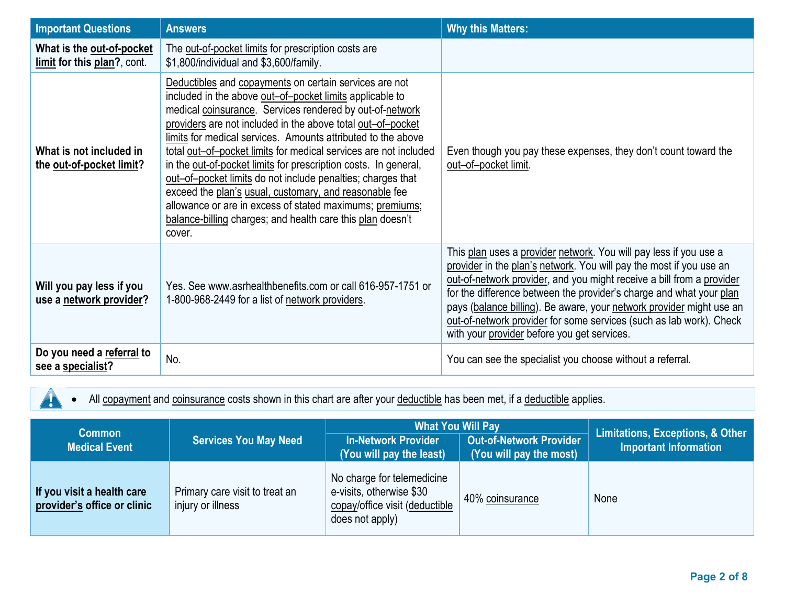| <b>Important Questions</b>                               | <b>Answers</b>                                                                                                                                                                                                                                                                                                                                                                                                                                                                                                                                                                                                                                                                                                    | <b>Why this Matters:</b>                                                                                                                                                                                                                                                                                                                                                                                                                                                               |
|----------------------------------------------------------|-------------------------------------------------------------------------------------------------------------------------------------------------------------------------------------------------------------------------------------------------------------------------------------------------------------------------------------------------------------------------------------------------------------------------------------------------------------------------------------------------------------------------------------------------------------------------------------------------------------------------------------------------------------------------------------------------------------------|----------------------------------------------------------------------------------------------------------------------------------------------------------------------------------------------------------------------------------------------------------------------------------------------------------------------------------------------------------------------------------------------------------------------------------------------------------------------------------------|
| What is the out-of-pocket<br>limit for this plan?, cont. | The out-of-pocket limits for prescription costs are<br>\$1,800/individual and \$3,600/family.                                                                                                                                                                                                                                                                                                                                                                                                                                                                                                                                                                                                                     |                                                                                                                                                                                                                                                                                                                                                                                                                                                                                        |
| What is not included in<br>the out-of-pocket limit?      | Deductibles and copayments on certain services are not<br>included in the above out-of-pocket limits applicable to<br>medical coinsurance. Services rendered by out-of-network<br>providers are not included in the above total out-of-pocket<br>limits for medical services. Amounts attributed to the above<br>total out-of-pocket limits for medical services are not included<br>in the out-of-pocket limits for prescription costs. In general,<br>out-of-pocket limits do not include penalties; charges that<br>exceed the plan's usual, customary, and reasonable fee<br>allowance or are in excess of stated maximums; premiums;<br>balance-billing charges; and health care this plan doesn't<br>cover. | Even though you pay these expenses, they don't count toward the<br>out-of-pocket limit.                                                                                                                                                                                                                                                                                                                                                                                                |
| Will you pay less if you<br>use a network provider?      | Yes. See www.asrhealthbenefits.com or call 616-957-1751 or<br>1-800-968-2449 for a list of network providers.                                                                                                                                                                                                                                                                                                                                                                                                                                                                                                                                                                                                     | This plan uses a provider network. You will pay less if you use a<br>provider in the plan's network. You will pay the most if you use an<br>out-of-network provider, and you might receive a bill from a provider<br>for the difference between the provider's charge and what your plan<br>pays (balance billing). Be aware, your network provider might use an<br>out-of-network provider for some services (such as lab work). Check<br>with your provider before you get services. |
| Do you need a referral to<br>see a specialist?           | No.                                                                                                                                                                                                                                                                                                                                                                                                                                                                                                                                                                                                                                                                                                               | You can see the specialist you choose without a referral.                                                                                                                                                                                                                                                                                                                                                                                                                              |

• All **copayment** and **coinsurance** costs shown in this chart are after your **deductible** has been met, if a *deductible* applies.

 $\blacktriangle$ 

| <b>Common</b><br><b>Medical Event</b>                     | <b>Services You May Need</b>                        | <b>What You Will Pay</b><br><b>Out-of-Network Provider</b><br><b>In-Network Provider</b><br>$\sqrt{(You will pay the least)}$<br>(You will pay the most) |                 | Limitations, Exceptions, & Other<br><b>Important Information</b> |
|-----------------------------------------------------------|-----------------------------------------------------|----------------------------------------------------------------------------------------------------------------------------------------------------------|-----------------|------------------------------------------------------------------|
| If you visit a health care<br>provider's office or clinic | Primary care visit to treat an<br>injury or illness | No charge for telemedicine<br>e-visits, otherwise \$30<br>copay/office visit (deductible<br>does not apply)                                              | 40% coinsurance | None                                                             |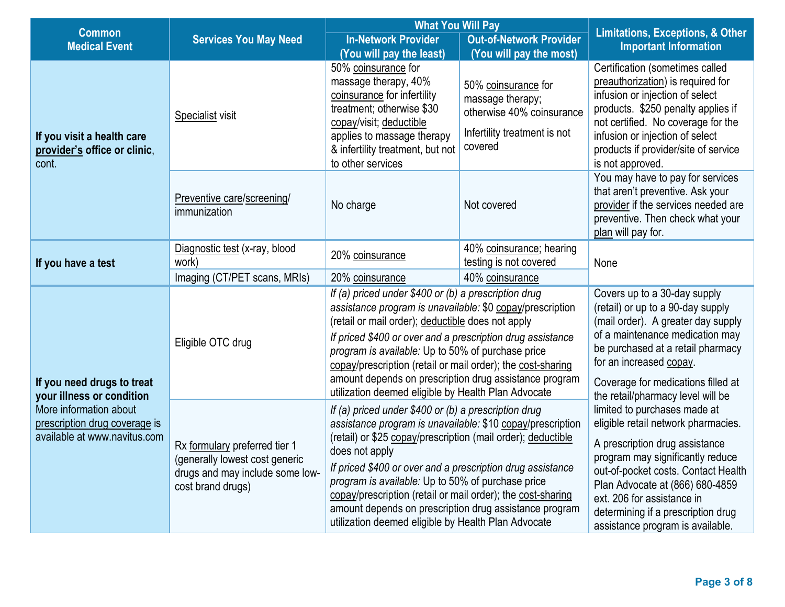| <b>Common</b>                                                                           |                                                                                                                         | <b>What You Will Pay</b>                                                                                                                                                                                                                                                                                                                                                                                                                                                                                                                                       | <b>Limitations, Exceptions, &amp; Other</b>                                                                     |                                                                                                                                                                                                                                                                                                                                                                  |  |
|-----------------------------------------------------------------------------------------|-------------------------------------------------------------------------------------------------------------------------|----------------------------------------------------------------------------------------------------------------------------------------------------------------------------------------------------------------------------------------------------------------------------------------------------------------------------------------------------------------------------------------------------------------------------------------------------------------------------------------------------------------------------------------------------------------|-----------------------------------------------------------------------------------------------------------------|------------------------------------------------------------------------------------------------------------------------------------------------------------------------------------------------------------------------------------------------------------------------------------------------------------------------------------------------------------------|--|
| <b>Medical Event</b>                                                                    | <b>Services You May Need</b>                                                                                            | <b>In-Network Provider</b>                                                                                                                                                                                                                                                                                                                                                                                                                                                                                                                                     | <b>Out-of-Network Provider</b>                                                                                  | <b>Important Information</b>                                                                                                                                                                                                                                                                                                                                     |  |
|                                                                                         |                                                                                                                         | (You will pay the least)                                                                                                                                                                                                                                                                                                                                                                                                                                                                                                                                       | (You will pay the most)                                                                                         |                                                                                                                                                                                                                                                                                                                                                                  |  |
| If you visit a health care<br>provider's office or clinic,<br>cont.                     | Specialist visit                                                                                                        | 50% coinsurance for<br>massage therapy, 40%<br>coinsurance for infertility<br>treatment; otherwise \$30<br>copay/visit; deductible<br>applies to massage therapy<br>& infertility treatment, but not<br>to other services                                                                                                                                                                                                                                                                                                                                      | 50% coinsurance for<br>massage therapy;<br>otherwise 40% coinsurance<br>Infertility treatment is not<br>covered | Certification (sometimes called<br>preauthorization) is required for<br>infusion or injection of select<br>products. \$250 penalty applies if<br>not certified. No coverage for the<br>infusion or injection of select<br>products if provider/site of service<br>is not approved.                                                                               |  |
|                                                                                         | Preventive care/screening/<br>immunization                                                                              | No charge                                                                                                                                                                                                                                                                                                                                                                                                                                                                                                                                                      | Not covered                                                                                                     | You may have to pay for services<br>that aren't preventive. Ask your<br>provider if the services needed are<br>preventive. Then check what your<br>plan will pay for.                                                                                                                                                                                            |  |
|                                                                                         | Diagnostic test (x-ray, blood                                                                                           | 20% coinsurance                                                                                                                                                                                                                                                                                                                                                                                                                                                                                                                                                | 40% coinsurance; hearing                                                                                        |                                                                                                                                                                                                                                                                                                                                                                  |  |
| If you have a test                                                                      | work)<br>Imaging (CT/PET scans, MRIs)                                                                                   | 20% coinsurance                                                                                                                                                                                                                                                                                                                                                                                                                                                                                                                                                | testing is not covered<br>40% coinsurance                                                                       | None                                                                                                                                                                                                                                                                                                                                                             |  |
| If you need drugs to treat<br>your illness or condition                                 | Eligible OTC drug                                                                                                       | If (a) priced under \$400 or (b) a prescription drug<br>assistance program is unavailable: \$0 copay/prescription<br>(retail or mail order); deductible does not apply<br>If priced \$400 or over and a prescription drug assistance<br>program is available: Up to 50% of purchase price<br>copay/prescription (retail or mail order); the cost-sharing<br>amount depends on prescription drug assistance program                                                                                                                                             |                                                                                                                 | Covers up to a 30-day supply<br>(retail) or up to a 90-day supply<br>(mail order). A greater day supply<br>of a maintenance medication may<br>be purchased at a retail pharmacy<br>for an increased copay.<br>Coverage for medications filled at                                                                                                                 |  |
| More information about<br>prescription drug coverage is<br>available at www.navitus.com | Rx formulary preferred tier 1<br>(generally lowest cost generic<br>drugs and may include some low-<br>cost brand drugs) | utilization deemed eligible by Health Plan Advocate<br>If (a) priced under \$400 or (b) a prescription drug<br>assistance program is unavailable: \$10 copay/prescription<br>(retail) or \$25 copay/prescription (mail order); deductible<br>does not apply<br>If priced \$400 or over and a prescription drug assistance<br>program is available: Up to 50% of purchase price<br>copay/prescription (retail or mail order); the cost-sharing<br>amount depends on prescription drug assistance program<br>utilization deemed eligible by Health Plan Advocate |                                                                                                                 | the retail/pharmacy level will be<br>limited to purchases made at<br>eligible retail network pharmacies.<br>A prescription drug assistance<br>program may significantly reduce<br>out-of-pocket costs. Contact Health<br>Plan Advocate at (866) 680-4859<br>ext. 206 for assistance in<br>determining if a prescription drug<br>assistance program is available. |  |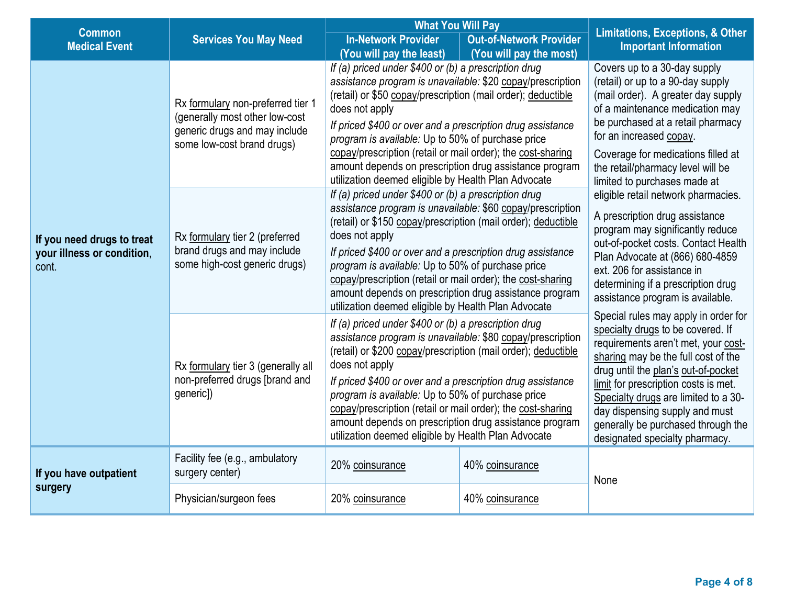| <b>Common</b>                                                     |                                                                                                                                    | <b>What You Will Pay</b>                                                                                                                                                                                                                                                                                                                                                                                                                                                                                                            |                                | <b>Limitations, Exceptions, &amp; Other</b>                                                                                                                                                                                                                                                                                                                                              |  |
|-------------------------------------------------------------------|------------------------------------------------------------------------------------------------------------------------------------|-------------------------------------------------------------------------------------------------------------------------------------------------------------------------------------------------------------------------------------------------------------------------------------------------------------------------------------------------------------------------------------------------------------------------------------------------------------------------------------------------------------------------------------|--------------------------------|------------------------------------------------------------------------------------------------------------------------------------------------------------------------------------------------------------------------------------------------------------------------------------------------------------------------------------------------------------------------------------------|--|
| <b>Medical Event</b>                                              | <b>Services You May Need</b>                                                                                                       | <b>In-Network Provider</b>                                                                                                                                                                                                                                                                                                                                                                                                                                                                                                          | <b>Out-of-Network Provider</b> | <b>Important Information</b>                                                                                                                                                                                                                                                                                                                                                             |  |
|                                                                   | Rx formulary non-preferred tier 1<br>(generally most other low-cost<br>generic drugs and may include<br>some low-cost brand drugs) | (You will pay the least)<br>If (a) priced under \$400 or (b) a prescription drug<br>assistance program is unavailable: \$20 copay/prescription<br>(retail) or \$50 copay/prescription (mail order); deductible<br>does not apply<br>If priced \$400 or over and a prescription drug assistance<br>program is available: Up to 50% of purchase price<br>copay/prescription (retail or mail order); the cost-sharing<br>amount depends on prescription drug assistance program<br>utilization deemed eligible by Health Plan Advocate | (You will pay the most)        | Covers up to a 30-day supply<br>(retail) or up to a 90-day supply<br>(mail order). A greater day supply<br>of a maintenance medication may<br>be purchased at a retail pharmacy<br>for an increased copay.<br>Coverage for medications filled at<br>the retail/pharmacy level will be<br>limited to purchases made at                                                                    |  |
| If you need drugs to treat<br>your illness or condition,<br>cont. | Rx formulary tier 2 (preferred<br>brand drugs and may include<br>some high-cost generic drugs)                                     | If (a) priced under \$400 or (b) a prescription drug<br>assistance program is unavailable: \$60 copay/prescription<br>(retail) or \$150 copay/prescription (mail order); deductible<br>does not apply<br>If priced \$400 or over and a prescription drug assistance<br>program is available: Up to 50% of purchase price<br>copay/prescription (retail or mail order); the cost-sharing<br>amount depends on prescription drug assistance program<br>utilization deemed eligible by Health Plan Advocate                            |                                | eligible retail network pharmacies.<br>A prescription drug assistance<br>program may significantly reduce<br>out-of-pocket costs. Contact Health<br>Plan Advocate at (866) 680-4859<br>ext. 206 for assistance in<br>determining if a prescription drug<br>assistance program is available.                                                                                              |  |
|                                                                   | Rx formulary tier 3 (generally all<br>non-preferred drugs [brand and<br>generic])                                                  | If (a) priced under \$400 or (b) a prescription drug<br>assistance program is unavailable: \$80 copay/prescription<br>(retail) or \$200 copay/prescription (mail order); deductible<br>does not apply<br>If priced \$400 or over and a prescription drug assistance<br>program is available: Up to 50% of purchase price<br>copay/prescription (retail or mail order); the cost-sharing<br>amount depends on prescription drug assistance program<br>utilization deemed eligible by Health Plan Advocate                            |                                | Special rules may apply in order for<br>specialty drugs to be covered. If<br>requirements aren't met, your cost-<br>sharing may be the full cost of the<br>drug until the plan's out-of-pocket<br>limit for prescription costs is met.<br>Specialty drugs are limited to a 30-<br>day dispensing supply and must<br>generally be purchased through the<br>designated specialty pharmacy. |  |
| If you have outpatient                                            | Facility fee (e.g., ambulatory<br>surgery center)                                                                                  | 20% coinsurance                                                                                                                                                                                                                                                                                                                                                                                                                                                                                                                     | 40% coinsurance                | None                                                                                                                                                                                                                                                                                                                                                                                     |  |
| surgery                                                           | Physician/surgeon fees                                                                                                             | 20% coinsurance                                                                                                                                                                                                                                                                                                                                                                                                                                                                                                                     | 40% coinsurance                |                                                                                                                                                                                                                                                                                                                                                                                          |  |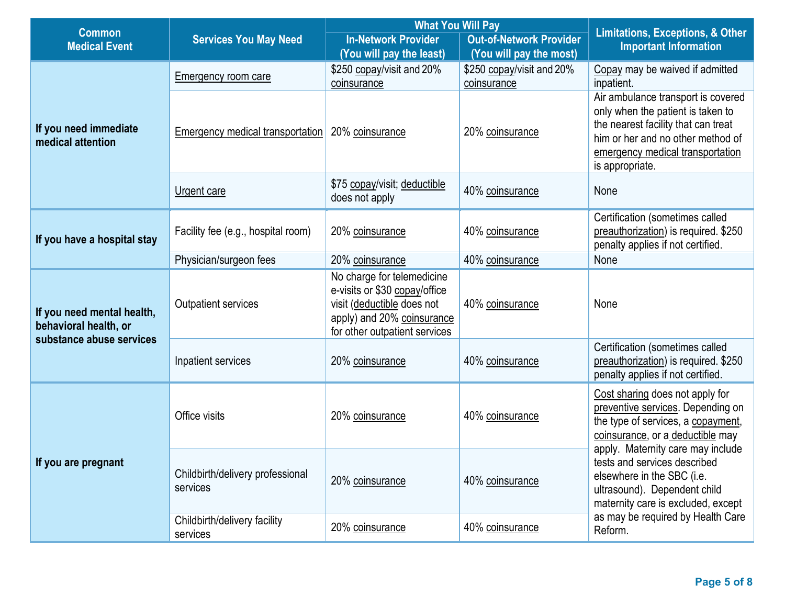| <b>Common</b>                                       |                                              | <b>What You Will Pay</b>                                                                                                                                 |                                          | <b>Limitations, Exceptions, &amp; Other</b>                                                                                                                                                                |  |
|-----------------------------------------------------|----------------------------------------------|----------------------------------------------------------------------------------------------------------------------------------------------------------|------------------------------------------|------------------------------------------------------------------------------------------------------------------------------------------------------------------------------------------------------------|--|
| <b>Medical Event</b>                                | <b>Services You May Need</b>                 | <b>In-Network Provider</b>                                                                                                                               | <b>Out-of-Network Provider</b>           | <b>Important Information</b>                                                                                                                                                                               |  |
|                                                     |                                              | (You will pay the least)                                                                                                                                 | (You will pay the most)                  |                                                                                                                                                                                                            |  |
|                                                     | <b>Emergency room care</b>                   | \$250 copay/visit and 20%<br>coinsurance                                                                                                                 | \$250 copay/visit and 20%<br>coinsurance | Copay may be waived if admitted<br>inpatient.                                                                                                                                                              |  |
| If you need immediate<br>medical attention          | Emergency medical transportation             | 20% coinsurance                                                                                                                                          | 20% coinsurance                          | Air ambulance transport is covered<br>only when the patient is taken to<br>the nearest facility that can treat<br>him or her and no other method of<br>emergency medical transportation<br>is appropriate. |  |
|                                                     | Urgent care                                  | \$75 copay/visit; deductible<br>does not apply                                                                                                           | 40% coinsurance                          | None                                                                                                                                                                                                       |  |
| If you have a hospital stay                         | Facility fee (e.g., hospital room)           | 20% coinsurance                                                                                                                                          | 40% coinsurance                          | Certification (sometimes called<br>preauthorization) is required. \$250<br>penalty applies if not certified.                                                                                               |  |
|                                                     | Physician/surgeon fees                       | 20% coinsurance                                                                                                                                          | 40% coinsurance                          | None                                                                                                                                                                                                       |  |
| If you need mental health,<br>behavioral health, or | Outpatient services                          | No charge for telemedicine<br>e-visits or \$30 copay/office<br>visit (deductible does not<br>apply) and 20% coinsurance<br>for other outpatient services | 40% coinsurance                          | None                                                                                                                                                                                                       |  |
| substance abuse services                            | Inpatient services                           | 20% coinsurance                                                                                                                                          | 40% coinsurance                          | Certification (sometimes called<br>preauthorization) is required. \$250<br>penalty applies if not certified.                                                                                               |  |
| If you are pregnant                                 | Office visits                                | 20% coinsurance                                                                                                                                          | 40% coinsurance                          | Cost sharing does not apply for<br>preventive services. Depending on<br>the type of services, a copayment,<br>coinsurance, or a deductible may                                                             |  |
|                                                     | Childbirth/delivery professional<br>services | 20% coinsurance                                                                                                                                          | 40% coinsurance                          | apply. Maternity care may include<br>tests and services described<br>elsewhere in the SBC (i.e.<br>ultrasound). Dependent child<br>maternity care is excluded, except                                      |  |
|                                                     | Childbirth/delivery facility<br>services     | 20% coinsurance                                                                                                                                          | 40% coinsurance                          | as may be required by Health Care<br>Reform.                                                                                                                                                               |  |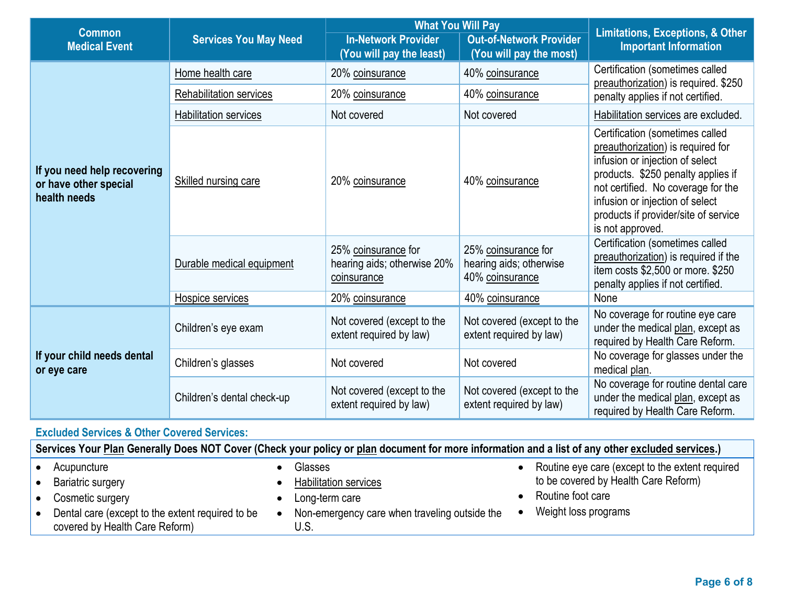|                                                                      |                                | <b>What You Will Pay</b>                                          |                                                                   | <b>Limitations, Exceptions, &amp; Other</b>                                                                                                                                                                                                                                        |  |
|----------------------------------------------------------------------|--------------------------------|-------------------------------------------------------------------|-------------------------------------------------------------------|------------------------------------------------------------------------------------------------------------------------------------------------------------------------------------------------------------------------------------------------------------------------------------|--|
| <b>Common</b><br><b>Medical Event</b>                                | <b>Services You May Need</b>   | <b>In-Network Provider</b><br>(You will pay the least)            | <b>Out-of-Network Provider</b><br>(You will pay the most)         | <b>Important Information</b>                                                                                                                                                                                                                                                       |  |
|                                                                      | Home health care               | 20% coinsurance                                                   | 40% coinsurance                                                   | Certification (sometimes called<br>preauthorization) is required. \$250                                                                                                                                                                                                            |  |
|                                                                      | <b>Rehabilitation services</b> | 20% coinsurance                                                   | 40% coinsurance                                                   | penalty applies if not certified.                                                                                                                                                                                                                                                  |  |
|                                                                      | <b>Habilitation services</b>   | Not covered                                                       | Not covered                                                       | Habilitation services are excluded.                                                                                                                                                                                                                                                |  |
| If you need help recovering<br>or have other special<br>health needs | Skilled nursing care           | 20% coinsurance                                                   | 40% coinsurance                                                   | Certification (sometimes called<br>preauthorization) is required for<br>infusion or injection of select<br>products. \$250 penalty applies if<br>not certified. No coverage for the<br>infusion or injection of select<br>products if provider/site of service<br>is not approved. |  |
|                                                                      | Durable medical equipment      | 25% coinsurance for<br>hearing aids; otherwise 20%<br>coinsurance | 25% coinsurance for<br>hearing aids; otherwise<br>40% coinsurance | Certification (sometimes called<br>preauthorization) is required if the<br>item costs \$2,500 or more. \$250<br>penalty applies if not certified.                                                                                                                                  |  |
|                                                                      | Hospice services               | 20% coinsurance                                                   | 40% coinsurance                                                   | None                                                                                                                                                                                                                                                                               |  |
|                                                                      | Children's eye exam            | Not covered (except to the<br>extent required by law)             | Not covered (except to the<br>extent required by law)             | No coverage for routine eye care<br>under the medical plan, except as<br>required by Health Care Reform.                                                                                                                                                                           |  |
| If your child needs dental<br>or eye care                            | Children's glasses             | Not covered                                                       | Not covered                                                       | No coverage for glasses under the<br>medical plan.                                                                                                                                                                                                                                 |  |
|                                                                      | Children's dental check-up     | Not covered (except to the<br>extent required by law)             | Not covered (except to the<br>extent required by law)             | No coverage for routine dental care<br>under the medical plan, except as<br>required by Health Care Reform.                                                                                                                                                                        |  |

### **Excluded Services & Other Covered Services:**

**Services Your Plan Generally Does NOT Cover (Check your policy or plan document for more information and a list of any other excluded services.)**

| Acupuncture                                      | Glasses                                       | Routine eye care (except to the extent required |
|--------------------------------------------------|-----------------------------------------------|-------------------------------------------------|
| Bariatric surgery                                | <b>Habilitation services</b>                  | to be covered by Health Care Reform)            |
| Cosmetic surgery                                 | Long-term care                                | Routine foot care                               |
| Dental care (except to the extent required to be | Non-emergency care when traveling outside the | Weight loss programs                            |
| covered by Health Care Reform)                   |                                               |                                                 |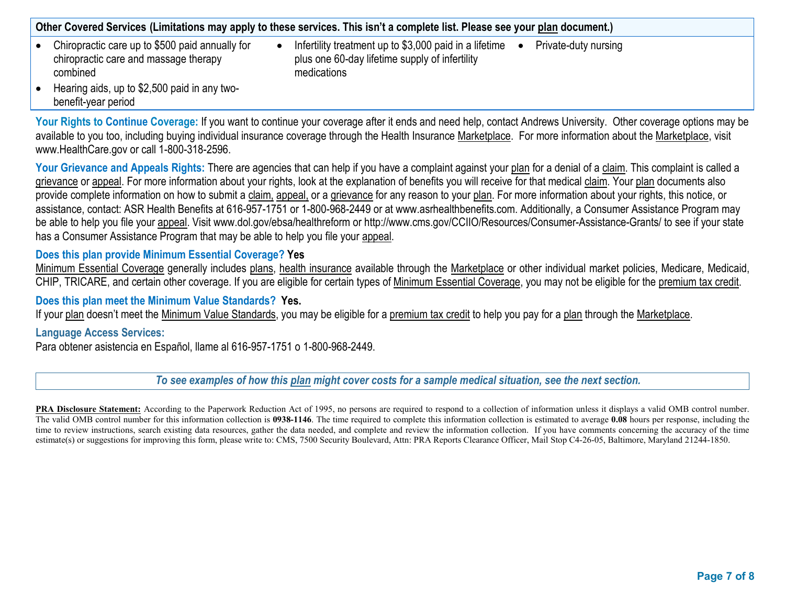**Other Covered Services (Limitations may apply to these services. This isn't a complete list. Please see your plan document.)**

- Chiropractic care up to \$500 paid annually for chiropractic care and massage therapy combined
- Infertility treatment up to \$3,000 paid in a lifetime  $\bullet$ plus one 60-day lifetime supply of infertility medications
	- Private-duty nursing

• Hearing aids, up to \$2,500 paid in any twobenefit-year period

Your Rights to Continue Coverage: If you want to continue your coverage after it ends and need help, contact Andrews University. Other coverage options may be available to you too, including buying individual insurance coverage through the Health Insurance Marketplace. For more information about the Marketplace, visit www.HealthCare.gov or call 1-800-318-2596.

Your Grievance and Appeals Rights: There are agencies that can help if you have a complaint against your plan for a denial of a claim. This complaint is called a grievance or appeal. For more information about your rights, look at the explanation of benefits you will receive for that medical claim. Your plan documents also provide complete information on how to submit a claim, appeal, or a grievance for any reason to your plan. For more information about your rights, this notice, or assistance, contact: ASR Health Benefits at 616-957-1751 or 1-800-968-2449 or at www.asrhealthbenefits.com. Additionally, a Consumer Assistance Program may be able to help you file your appeal. Visit www.dol.gov/ebsa/healthreform or http://www.cms.gov/CCIIO/Resources/Consumer-Assistance-Grants/ to see if your state has a Consumer Assistance Program that may be able to help you file your appeal.

### **Does this plan provide Minimum Essential Coverage? Yes**

Minimum Essential Coverage generally includes plans, health insurance available through the Marketplace or other individual market policies, Medicare, Medicaid, CHIP, TRICARE, and certain other coverage. If you are eligible for certain types of Minimum Essential Coverage, you may not be eligible for the premium tax credit.

#### **Does this plan meet the Minimum Value Standards? Yes.**

If your plan doesn't meet the Minimum Value Standards, you may be eligible for a premium tax credit to help you pay for a plan through the Marketplace.

#### **Language Access Services:**

Para obtener asistencia en Español, llame al 616-957-1751 o 1-800-968-2449.

*To see examples of how this plan might cover costs for a sample medical situation, see the next section.*

**PRA Disclosure Statement:** According to the Paperwork Reduction Act of 1995, no persons are required to respond to a collection of information unless it displays a valid OMB control number. The valid OMB control number for this information collection is **0938-1146**. The time required to complete this information collection is estimated to average **0.08** hours per response, including the time to review instructions, search existing data resources, gather the data needed, and complete and review the information collection. If you have comments concerning the accuracy of the time estimate(s) or suggestions for improving this form, please write to: CMS, 7500 Security Boulevard, Attn: PRA Reports Clearance Officer, Mail Stop C4-26-05, Baltimore, Maryland 21244-1850.